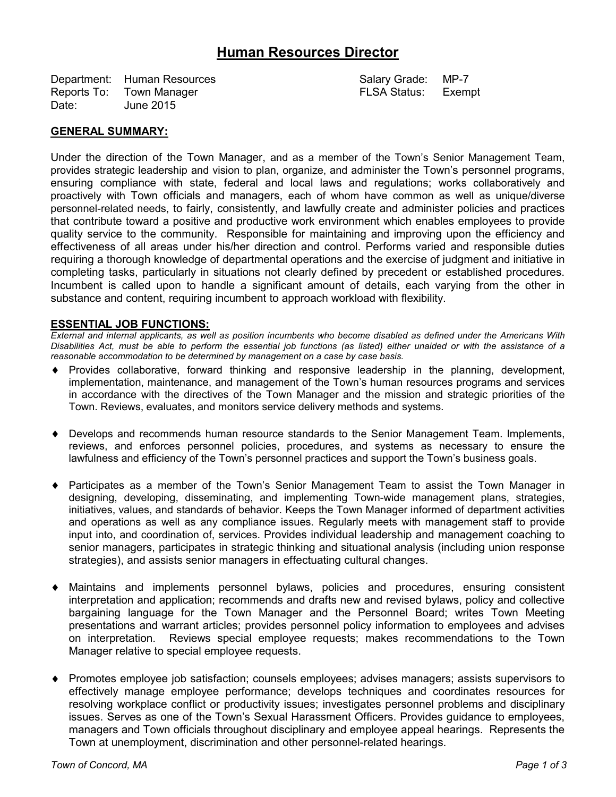# **Human Resources Director**

Department: Human Resources and Salary Grade: MP-7 Reports To: Town Manager **FLSA Status:** Exempt Date: June 2015

### **GENERAL SUMMARY:**

Under the direction of the Town Manager, and as a member of the Town's Senior Management Team, provides strategic leadership and vision to plan, organize, and administer the Town's personnel programs, ensuring compliance with state, federal and local laws and regulations; works collaboratively and proactively with Town officials and managers, each of whom have common as well as unique/diverse personnel-related needs, to fairly, consistently, and lawfully create and administer policies and practices that contribute toward a positive and productive work environment which enables employees to provide quality service to the community. Responsible for maintaining and improving upon the efficiency and effectiveness of all areas under his/her direction and control. Performs varied and responsible duties requiring a thorough knowledge of departmental operations and the exercise of judgment and initiative in completing tasks, particularly in situations not clearly defined by precedent or established procedures. Incumbent is called upon to handle a significant amount of details, each varying from the other in substance and content, requiring incumbent to approach workload with flexibility.

#### **ESSENTIAL JOB FUNCTIONS:**

*External and internal applicants, as well as position incumbents who become disabled as defined under the Americans With Disabilities Act, must be able to perform the essential job functions (as listed) either unaided or with the assistance of a reasonable accommodation to be determined by management on a case by case basis.*

- Provides collaborative, forward thinking and responsive leadership in the planning, development, implementation, maintenance, and management of the Town's human resources programs and services in accordance with the directives of the Town Manager and the mission and strategic priorities of the Town. Reviews, evaluates, and monitors service delivery methods and systems.
- Develops and recommends human resource standards to the Senior Management Team. Implements, reviews, and enforces personnel policies, procedures, and systems as necessary to ensure the lawfulness and efficiency of the Town's personnel practices and support the Town's business goals.
- Participates as a member of the Town's Senior Management Team to assist the Town Manager in designing, developing, disseminating, and implementing Town-wide management plans, strategies, initiatives, values, and standards of behavior. Keeps the Town Manager informed of department activities and operations as well as any compliance issues. Regularly meets with management staff to provide input into, and coordination of, services. Provides individual leadership and management coaching to senior managers, participates in strategic thinking and situational analysis (including union response strategies), and assists senior managers in effectuating cultural changes.
- Maintains and implements personnel bylaws, policies and procedures, ensuring consistent interpretation and application; recommends and drafts new and revised bylaws, policy and collective bargaining language for the Town Manager and the Personnel Board; writes Town Meeting presentations and warrant articles; provides personnel policy information to employees and advises on interpretation. Reviews special employee requests; makes recommendations to the Town Manager relative to special employee requests.
- Promotes employee job satisfaction; counsels employees; advises managers; assists supervisors to effectively manage employee performance; develops techniques and coordinates resources for resolving workplace conflict or productivity issues; investigates personnel problems and disciplinary issues. Serves as one of the Town's Sexual Harassment Officers. Provides guidance to employees, managers and Town officials throughout disciplinary and employee appeal hearings. Represents the Town at unemployment, discrimination and other personnel-related hearings.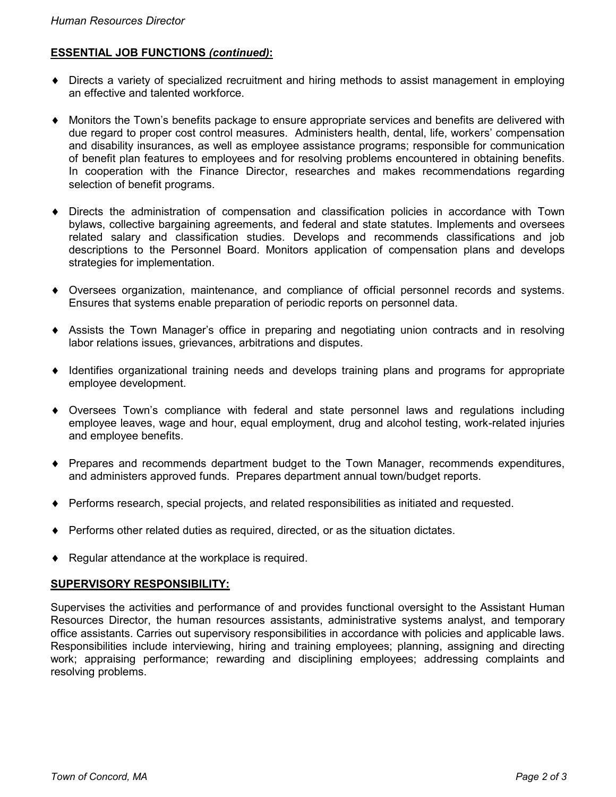# **ESSENTIAL JOB FUNCTIONS** *(continued)***:**

- ♦ Directs a variety of specialized recruitment and hiring methods to assist management in employing an effective and talented workforce.
- ♦ Monitors the Town's benefits package to ensure appropriate services and benefits are delivered with due regard to proper cost control measures. Administers health, dental, life, workers' compensation and disability insurances, as well as employee assistance programs; responsible for communication of benefit plan features to employees and for resolving problems encountered in obtaining benefits. In cooperation with the Finance Director, researches and makes recommendations regarding selection of benefit programs.
- ♦ Directs the administration of compensation and classification policies in accordance with Town bylaws, collective bargaining agreements, and federal and state statutes. Implements and oversees related salary and classification studies. Develops and recommends classifications and job descriptions to the Personnel Board. Monitors application of compensation plans and develops strategies for implementation.
- ♦ Oversees organization, maintenance, and compliance of official personnel records and systems. Ensures that systems enable preparation of periodic reports on personnel data.
- ♦ Assists the Town Manager's office in preparing and negotiating union contracts and in resolving labor relations issues, grievances, arbitrations and disputes.
- ♦ Identifies organizational training needs and develops training plans and programs for appropriate employee development.
- ♦ Oversees Town's compliance with federal and state personnel laws and regulations including employee leaves, wage and hour, equal employment, drug and alcohol testing, work-related injuries and employee benefits.
- ♦ Prepares and recommends department budget to the Town Manager, recommends expenditures, and administers approved funds. Prepares department annual town/budget reports.
- ♦ Performs research, special projects, and related responsibilities as initiated and requested.
- ♦ Performs other related duties as required, directed, or as the situation dictates.
- ♦ Regular attendance at the workplace is required.

## **SUPERVISORY RESPONSIBILITY:**

Supervises the activities and performance of and provides functional oversight to the Assistant Human Resources Director, the human resources assistants, administrative systems analyst, and temporary office assistants. Carries out supervisory responsibilities in accordance with policies and applicable laws. Responsibilities include interviewing, hiring and training employees; planning, assigning and directing work; appraising performance; rewarding and disciplining employees; addressing complaints and resolving problems.